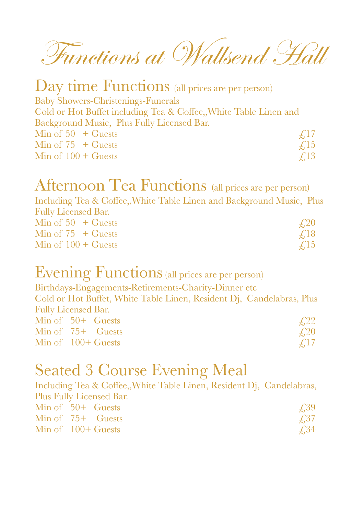Functions at Wallsend Hall

### Day time Functions (all prices are per person)

Baby Showers-Christenings-Funerals Cold or Hot Buffet including Tea & Coffee,,White Table Linen and Background Music, Plus Fully Licensed Bar. Min of  $50 + \text{Guests}$   $\neq$ , 17 Min of 75 + Guests  $\epsilon$ , 15 Min of  $100 + \text{Guests}$   $\qquad$   $\qquad$   $\qquad$   $\qquad$   $\qquad$   $\qquad$   $\qquad$   $\qquad$   $\qquad$   $\qquad$   $\qquad$   $\qquad$   $\qquad$   $\qquad$   $\qquad$   $\qquad$   $\qquad$   $\qquad$   $\qquad$   $\qquad$   $\qquad$   $\qquad$   $\qquad$   $\qquad$   $\qquad$   $\qquad$   $\qquad$   $\qquad$   $\qquad$   $\qquad$   $\qquad$   $\qquad$   $\qquad$   $\$ 

## Afternoon Tea Functions (all prices are per person)

Including Tea & Coffee,,White Table Linen and Background Music, Plus Fully Licensed Bar.  $\lim_{x \to 0}$  of 50  $\pm$  Guests  $\bigcap$ 

| $MIII$ of $JU$ $T$ Guests | $\pm$ , $\angle$ $\cup$ |
|---------------------------|-------------------------|
| Min of $75 +$ Guests      | $\angle 18$             |
| Min of $100 +$ Guests     | $\angle 15$             |

## Evening Functions (all prices are per person)

Birthdays-Engagements-Retirements-Charity-Dinner etc

Cold or Hot Buffet, White Table Linen, Resident Dj, Candelabras, Plus Fully Licensed Bar.  $\text{Min of } 50+ \text{ C$ 

| <b>IVIIII OI</b> JUT <b>GUESIS</b> | $\pm, 44$   |
|------------------------------------|-------------|
| Min of $75+$ Guests                | $\angle 20$ |
| Min of $100+$ Guests               | $\angle 17$ |

### Seated 3 Course Evening Meal

Including Tea & Coffee,,White Table Linen, Resident Dj, Candelabras, Plus Fully Licensed Bar.

| Min of $50+$ Guests  | <i>f</i> <sub>39</sub> |
|----------------------|------------------------|
| Min of $75+$ Guests  | f.37                   |
| Min of $100+$ Guests | $\angle 34$            |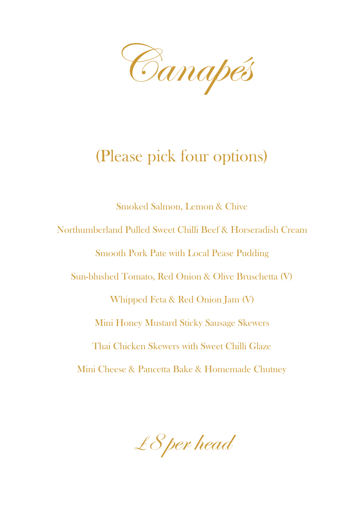Canapés

## (Please pick four options)

Smoked Salmon, Lemon & Chive Northumberland Pulled Sweet Chilli Beef & Horseradish Cream Smooth Pork Pate with Local Pease Pudding Sun-blushed Tomato, Red Onion & Olive Bruschetta (V) Whipped Feta & Red Onion Jam (V) Mini Honey Mustard Sticky Sausage Skewers Thai Chicken Skewers with Sweet Chilli Glaze Mini Cheese & Pancetta Bake & Homemade Chutney

£8 per head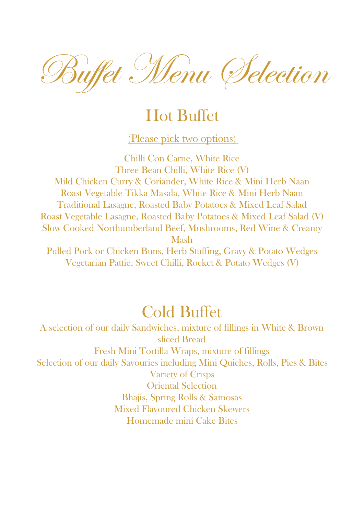Buffet Menu Selection

## Hot Buffet

(Please pick two options)

Chilli Con Carne, White Rice Three Bean Chilli, White Rice (V) Mild Chicken Curry & Coriander, White Rice & Mini Herb Naan Roast Vegetable Tikka Masala, White Rice & Mini Herb Naan Traditional Lasagne, Roasted Baby Potatoes & Mixed Leaf Salad Roast Vegetable Lasagne, Roasted Baby Potatoes & Mixed Leaf Salad (V) Slow Cooked Northumberland Beef, Mushrooms, Red Wine & Creamy Mash

Pulled Pork or Chicken Buns, Herb Stuffing, Gravy & Potato Wedges Vegetarian Pattie, Sweet Chilli, Rocket & Potato Wedges (V)

### Cold Buffet

A selection of our daily Sandwiches, mixture of fillings in White & Brown sliced Bread Fresh Mini Tortilla Wraps, mixture of fillings Selection of our daily Savouries including Mini Quiches, Rolls, Pies & Bites Variety of Crisps Oriental Selection Bhajis, Spring Rolls & Samosas Mixed Flavoured Chicken Skewers Homemade mini Cake Bites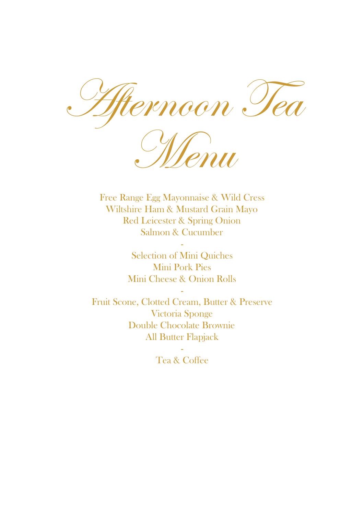noon T



Free Range Egg Mayonnaise & Wild Cress Wiltshire Ham & Mustard Grain Mayo Red Leicester & Spring Onion Salmon & Cucumber

-

Selection of Mini Quiches Mini Pork Pies Mini Cheese & Onion Rolls

- Fruit Scone, Clotted Cream, Butter & Preserve Victoria Sponge Double Chocolate Brownie All Butter Flapjack

> - Tea & Coffee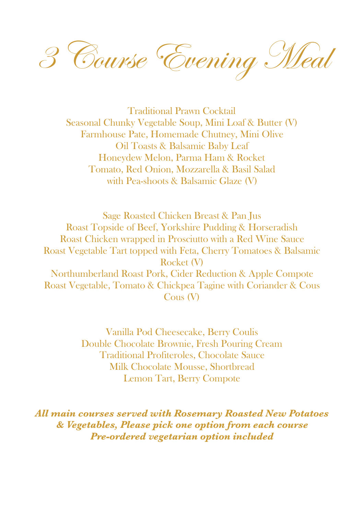3 Course Evening Meal

Traditional Prawn Cocktail Seasonal Chunky Vegetable Soup, Mini Loaf & Butter (V) Farmhouse Pate, Homemade Chutney, Mini Olive Oil Toasts & Balsamic Baby Leaf Honeydew Melon, Parma Ham & Rocket Tomato, Red Onion, Mozzarella & Basil Salad with Pea-shoots & Balsamic Glaze (V)

Sage Roasted Chicken Breast & Pan Jus Roast Topside of Beef, Yorkshire Pudding & Horseradish Roast Chicken wrapped in Prosciutto with a Red Wine Sauce Roast Vegetable Tart topped with Feta, Cherry Tomatoes & Balsamic Rocket (V) Northumberland Roast Pork, Cider Reduction & Apple Compote Roast Vegetable, Tomato & Chickpea Tagine with Coriander & Cous Cous (V)

> Vanilla Pod Cheesecake, Berry Coulis Double Chocolate Brownie, Fresh Pouring Cream Traditional Profiteroles, Chocolate Sauce Milk Chocolate Mousse, Shortbread Lemon Tart, Berry Compote

*All main courses served with Rosemary Roasted New Potatoes & Vegetables, Please pick one option from each course Pre-ordered vegetarian option included*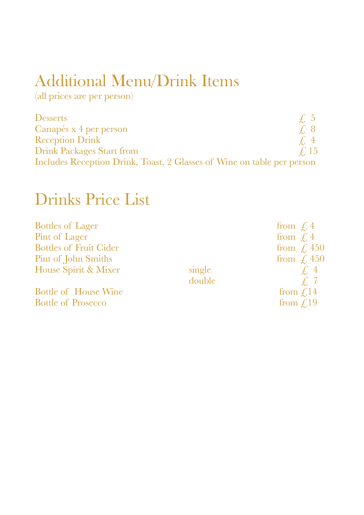## Additional Menu/Drink Items

(all prices are per person)

| <b>Desserts</b>                                                        | $\neq$ 5    |  |
|------------------------------------------------------------------------|-------------|--|
| Canapés x 4 per person                                                 | $\pm$ 8     |  |
| <b>Reception Drink</b>                                                 | $\angle$ 4  |  |
| <b>Drink Packages Start from</b>                                       | $\angle$ 15 |  |
| Includes Reception Drink, Toast, 2 Glasses of Wine on table per person |             |  |

## Drinks Price List

| <b>Bottles of Lager</b>       |        | from $\int$ , 4      |
|-------------------------------|--------|----------------------|
| Pint of Lager                 |        | from $\int$ , 4      |
| <b>Bottles of Fruit Cider</b> |        | from $\int$ , 450    |
| Pint of John Smiths           |        | from $\int$ , 450    |
| House Spirit & Mixer          | single | $\int$ , 4           |
|                               | double | $\int$ , 7           |
| <b>Bottle of House Wine</b>   |        | from $\int$ , 14     |
| <b>Bottle of Prosecco</b>     |        | from $\mathcal{L}19$ |